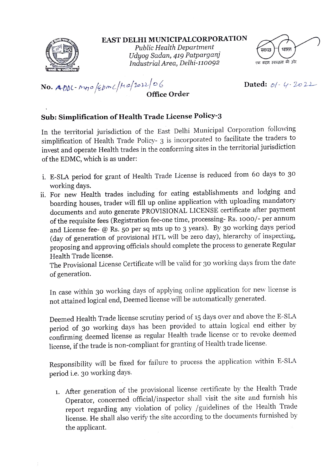

EAST DELHI MUNICIPALcORPORATION

Public Health Department Udyog Sadan, 419 Patparganj<br>Industrial Area, Delhi-110092



No. Addl- $m_{H}\circ$  /2bmc/ke/2012/06 Dated: ol- y-2021

## Office Order

## Sub: Simplification of Health Trade License Policy-3

In the territorial jurisdiction of the East Delhi Municipal Corporation following simplification of Health Trade Policy- 3 is incorporated to facilitate the traders to invest and operate Health trades in the conforming sites in the territorial jurisdictioon of the EDMC, which is as under:

- i. E-SLA period for grant of Health Trade License is reduced from 60 days to 30 working days.
- ii. For new Health trades including for eating establishments and lodging and boarding houses, trader will fill up online application with uploading mandatory documents and auto generate PROVISIONAL LICENSE certificate after payment of the requisite fees (Registration fee-one time, processing- Rs. 1000/- per annum and License fee- @ Rs. 50 per sq mts up to 3 years). By 30 working days period (day of generation of provisional HTL will be zero day), hierarchy of inspecting, proposing and approving officials should complete the process to generate Regular Health Trade license.

The Provisional License Certificate will be valid for 30 working days from the date of generation.

In case within 30 working days of applying online application for new license is not attained logical end, Deemed license will be automatically generated.

Deemed Health Trade license scrutiny period of 15 days over and above the E-SLA period of 30 working days has been provided to attain logical end either by confirming deemed license as regular Health trade license or to revoke deemed license, if the trade is non-compliant for granting of Health trade license.

Responsibility will be fixed for failure to process the application within E-SLA period i.e. 30 working days.

1. After generation of the provisional license certificate by the Health Trade Operator, concerned official/inspector shall visit the site and furnish his report regarding any violation of policy /guidelines of the Health Trade license. He shall also verify the site according to the documents furnished by the applicant.